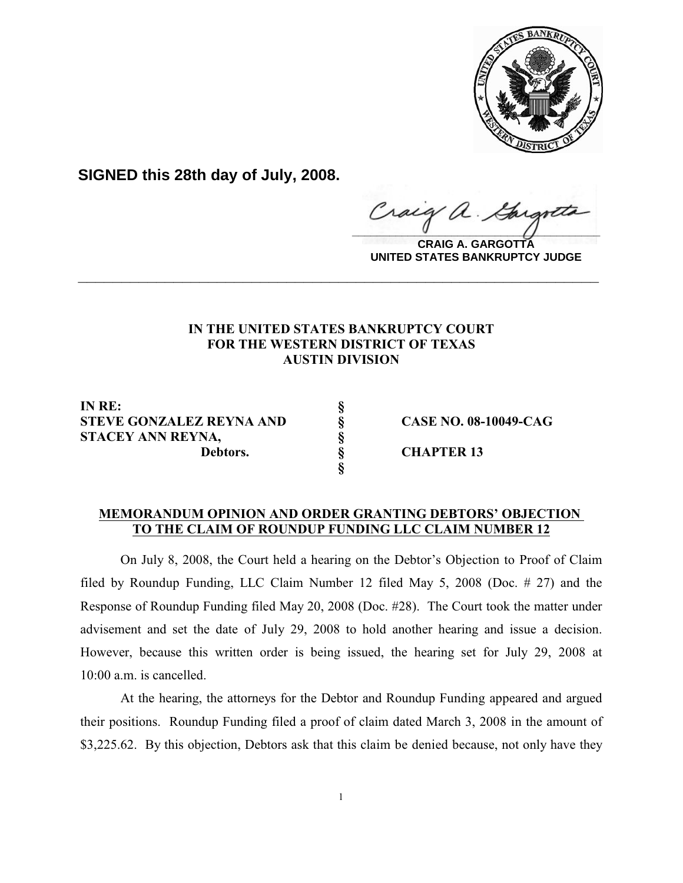

**SIGNED this 28th day of July, 2008.**

raig  $\frac{1}{2}$ 

**CRAIG A. GARGOTTA UNITED STATES BANKRUPTCY JUDGE**

## **IN THE UNITED STATES BANKRUPTCY COURT FOR THE WESTERN DISTRICT OF TEXAS AUSTIN DIVISION**

**\_\_\_\_\_\_\_\_\_\_\_\_\_\_\_\_\_\_\_\_\_\_\_\_\_\_\_\_\_\_\_\_\_\_\_\_\_\_\_\_\_\_\_\_\_\_\_\_\_\_\_\_\_\_\_\_\_\_\_\_**

**IN RE: § STEVE GONZALEZ REYNA AND § CASE NO. 08-10049-CAG STACEY ANN REYNA, § Debtors. § CHAPTER 13**

## **MEMORANDUM OPINION AND ORDER GRANTING DEBTORS' OBJECTION TO THE CLAIM OF ROUNDUP FUNDING LLC CLAIM NUMBER 12**

**§**

On July 8, 2008, the Court held a hearing on the Debtor's Objection to Proof of Claim filed by Roundup Funding, LLC Claim Number 12 filed May 5, 2008 (Doc. # 27) and the Response of Roundup Funding filed May 20, 2008 (Doc. #28). The Court took the matter under advisement and set the date of July 29, 2008 to hold another hearing and issue a decision. However, because this written order is being issued, the hearing set for July 29, 2008 at 10:00 a.m. is cancelled.

At the hearing, the attorneys for the Debtor and Roundup Funding appeared and argued their positions. Roundup Funding filed a proof of claim dated March 3, 2008 in the amount of \$3,225.62. By this objection, Debtors ask that this claim be denied because, not only have they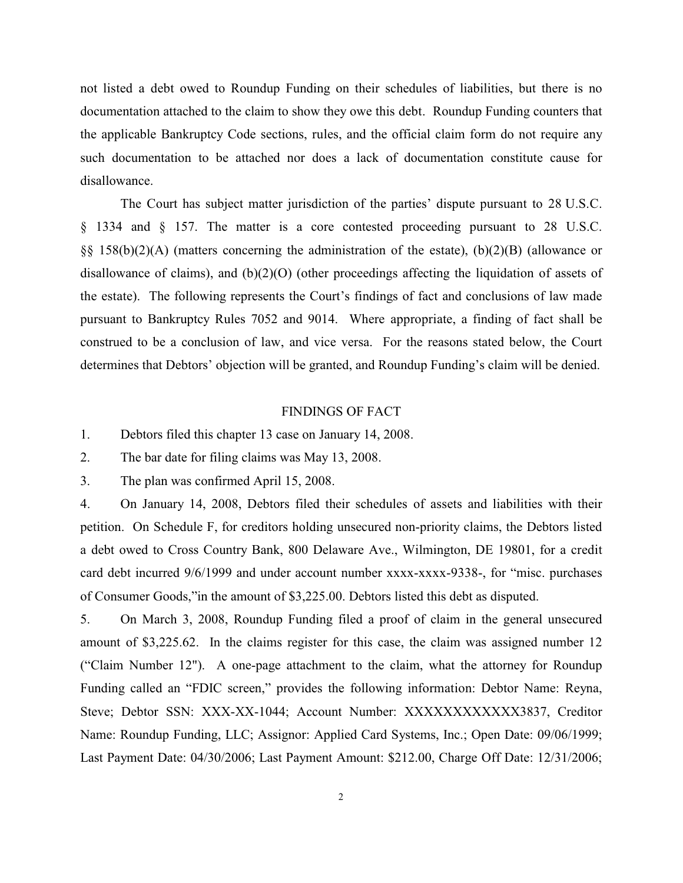not listed a debt owed to Roundup Funding on their schedules of liabilities, but there is no documentation attached to the claim to show they owe this debt. Roundup Funding counters that the applicable Bankruptcy Code sections, rules, and the official claim form do not require any such documentation to be attached nor does a lack of documentation constitute cause for disallowance.

The Court has subject matter jurisdiction of the parties' dispute pursuant to 28 U.S.C. § 1334 and § 157. The matter is a core contested proceeding pursuant to 28 U.S.C. §§ 158(b)(2)(A) (matters concerning the administration of the estate), (b)(2)(B) (allowance or disallowance of claims), and (b)(2)(O) (other proceedings affecting the liquidation of assets of the estate). The following represents the Court's findings of fact and conclusions of law made pursuant to Bankruptcy Rules 7052 and 9014. Where appropriate, a finding of fact shall be construed to be a conclusion of law, and vice versa. For the reasons stated below, the Court determines that Debtors' objection will be granted, and Roundup Funding's claim will be denied.

## FINDINGS OF FACT

1. Debtors filed this chapter 13 case on January 14, 2008.

2. The bar date for filing claims was May 13, 2008.

3. The plan was confirmed April 15, 2008.

4. On January 14, 2008, Debtors filed their schedules of assets and liabilities with their petition. On Schedule F, for creditors holding unsecured non-priority claims, the Debtors listed a debt owed to Cross Country Bank, 800 Delaware Ave., Wilmington, DE 19801, for a credit card debt incurred 9/6/1999 and under account number xxxx-xxxx-9338-, for "misc. purchases of Consumer Goods,"in the amount of \$3,225.00. Debtors listed this debt as disputed.

5. On March 3, 2008, Roundup Funding filed a proof of claim in the general unsecured amount of \$3,225.62. In the claims register for this case, the claim was assigned number 12 ("Claim Number 12"). A one-page attachment to the claim, what the attorney for Roundup Funding called an "FDIC screen," provides the following information: Debtor Name: Reyna, Steve; Debtor SSN: XXX-XX-1044; Account Number: XXXXXXXXXXXXX3837, Creditor Name: Roundup Funding, LLC; Assignor: Applied Card Systems, Inc.; Open Date: 09/06/1999; Last Payment Date: 04/30/2006; Last Payment Amount: \$212.00, Charge Off Date: 12/31/2006;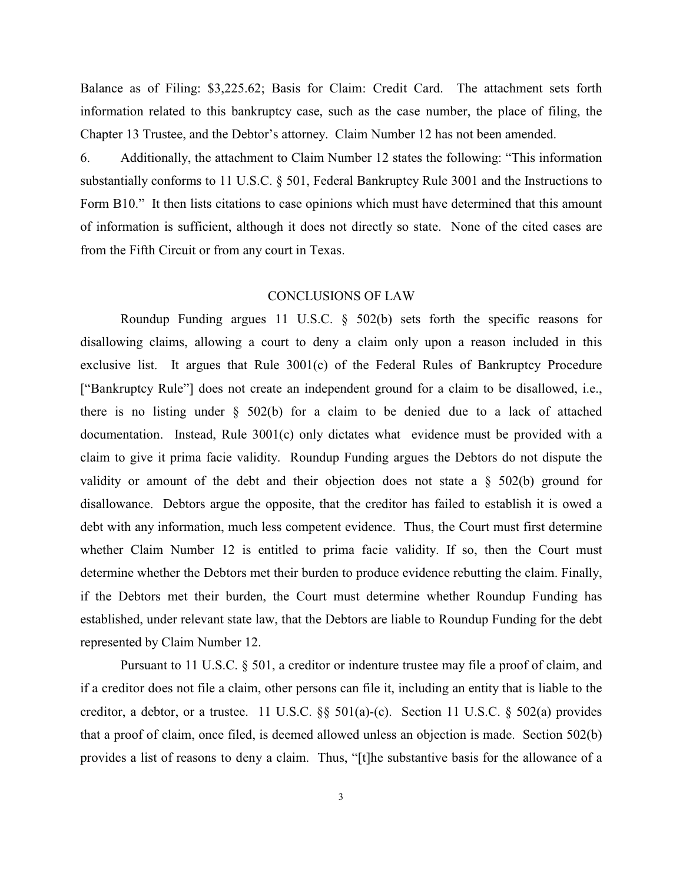Balance as of Filing: \$3,225.62; Basis for Claim: Credit Card. The attachment sets forth information related to this bankruptcy case, such as the case number, the place of filing, the Chapter 13 Trustee, and the Debtor's attorney. Claim Number 12 has not been amended.

6. Additionally, the attachment to Claim Number 12 states the following: "This information substantially conforms to 11 U.S.C. § 501, Federal Bankruptcy Rule 3001 and the Instructions to Form B10." It then lists citations to case opinions which must have determined that this amount of information is sufficient, although it does not directly so state. None of the cited cases are from the Fifth Circuit or from any court in Texas.

## CONCLUSIONS OF LAW

Roundup Funding argues 11 U.S.C. § 502(b) sets forth the specific reasons for disallowing claims, allowing a court to deny a claim only upon a reason included in this exclusive list. It argues that Rule  $3001(c)$  of the Federal Rules of Bankruptcy Procedure ["Bankruptcy Rule"] does not create an independent ground for a claim to be disallowed, i.e., there is no listing under  $\S$  502(b) for a claim to be denied due to a lack of attached documentation. Instead, Rule 3001(c) only dictates what evidence must be provided with a claim to give it prima facie validity. Roundup Funding argues the Debtors do not dispute the validity or amount of the debt and their objection does not state a  $\S$  502(b) ground for disallowance. Debtors argue the opposite, that the creditor has failed to establish it is owed a debt with any information, much less competent evidence. Thus, the Court must first determine whether Claim Number 12 is entitled to prima facie validity. If so, then the Court must determine whether the Debtors met their burden to produce evidence rebutting the claim. Finally, if the Debtors met their burden, the Court must determine whether Roundup Funding has established, under relevant state law, that the Debtors are liable to Roundup Funding for the debt represented by Claim Number 12.

Pursuant to 11 U.S.C. § 501, a creditor or indenture trustee may file a proof of claim, and if a creditor does not file a claim, other persons can file it, including an entity that is liable to the creditor, a debtor, or a trustee. 11 U.S.C. §§ 501(a)-(c). Section 11 U.S.C. § 502(a) provides that a proof of claim, once filed, is deemed allowed unless an objection is made. Section 502(b) provides a list of reasons to deny a claim. Thus, "[t]he substantive basis for the allowance of a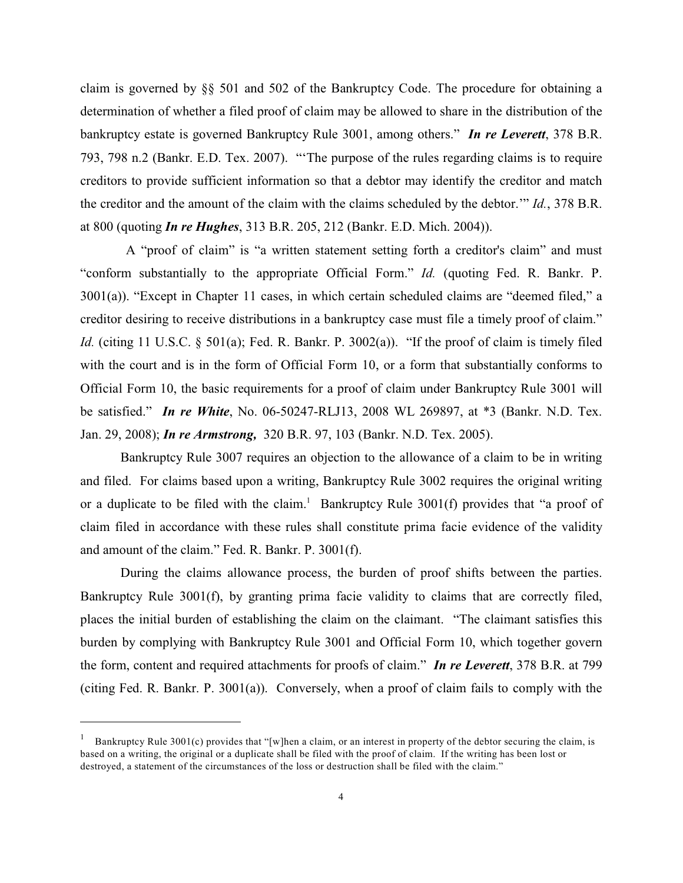claim is governed by §§ 501 and 502 of the Bankruptcy Code. The procedure for obtaining a determination of whether a filed proof of claim may be allowed to share in the distribution of the bankruptcy estate is governed Bankruptcy Rule 3001, among others." *In re Leverett*, 378 B.R. 793, 798 n.2 (Bankr. E.D. Tex. 2007). "'The purpose of the rules regarding claims is to require creditors to provide sufficient information so that a debtor may identify the creditor and match the creditor and the amount of the claim with the claims scheduled by the debtor.'" *Id.*, 378 B.R. at 800 (quoting *In re Hughes*, 313 B.R. 205, 212 (Bankr. E.D. Mich. 2004)).

 A "proof of claim" is "a written statement setting forth a creditor's claim" and must "conform substantially to the appropriate Official Form." *Id.* (quoting Fed. R. Bankr. P. 3001(a)). "Except in Chapter 11 cases, in which certain scheduled claims are "deemed filed," a creditor desiring to receive distributions in a bankruptcy case must file a timely proof of claim." *Id.* (citing 11 U.S.C. § 501(a); Fed. R. Bankr. P. 3002(a)). "If the proof of claim is timely filed with the court and is in the form of Official Form 10, or a form that substantially conforms to Official Form 10, the basic requirements for a proof of claim under Bankruptcy Rule 3001 will be satisfied." *In re White*, No. 06-50247-RLJ13, 2008 WL 269897, at \*3 (Bankr. N.D. Tex. Jan. 29, 2008); *In re Armstrong,* 320 B.R. 97, 103 (Bankr. N.D. Tex. 2005).

Bankruptcy Rule 3007 requires an objection to the allowance of a claim to be in writing and filed. For claims based upon a writing, Bankruptcy Rule 3002 requires the original writing or a duplicate to be filed with the claim.<sup>1</sup> Bankruptcy Rule  $3001(f)$  provides that "a proof of claim filed in accordance with these rules shall constitute prima facie evidence of the validity and amount of the claim." Fed. R. Bankr. P. 3001(f).

During the claims allowance process, the burden of proof shifts between the parties. Bankruptcy Rule 3001(f), by granting prima facie validity to claims that are correctly filed, places the initial burden of establishing the claim on the claimant. "The claimant satisfies this burden by complying with Bankruptcy Rule 3001 and Official Form 10, which together govern the form, content and required attachments for proofs of claim." *In re Leverett*, 378 B.R. at 799 (citing Fed. R. Bankr. P. 3001(a)). Conversely, when a proof of claim fails to comply with the

Bankruptcy Rule 3001(c) provides that "[w]hen a claim, or an interest in property of the debtor securing the claim, is based on a writing, the original or a duplicate shall be filed with the proof of claim. If the writing has been lost or destroyed, a statement of the circumstances of the loss or destruction shall be filed with the claim."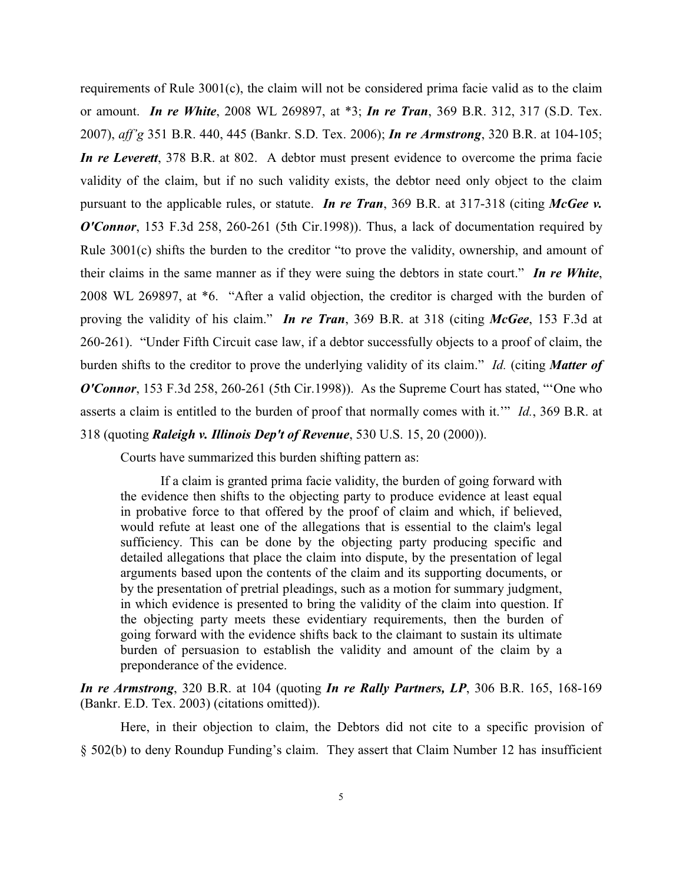requirements of Rule 3001(c), the claim will not be considered prima facie valid as to the claim or amount. *In re White*, 2008 WL 269897, at \*3; *In re Tran*, 369 B.R. 312, 317 (S.D. Tex. 2007), *aff'g* 351 B.R. 440, 445 (Bankr. S.D. Tex. 2006); *In re Armstrong*, 320 B.R. at 104-105; *In re Leverett*, 378 B.R. at 802. A debtor must present evidence to overcome the prima facie validity of the claim, but if no such validity exists, the debtor need only object to the claim pursuant to the applicable rules, or statute. *In re Tran*, 369 B.R. at 317-318 (citing *McGee v. O'Connor*, 153 F.3d 258, 260-261 (5th Cir.1998)). Thus, a lack of documentation required by Rule 3001(c) shifts the burden to the creditor "to prove the validity, ownership, and amount of their claims in the same manner as if they were suing the debtors in state court." *In re White*, 2008 WL 269897, at \*6. "After a valid objection, the creditor is charged with the burden of proving the validity of his claim." *In re Tran*, 369 B.R. at 318 (citing *McGee*, 153 F.3d at 260-261). "Under Fifth Circuit case law, if a debtor successfully objects to a proof of claim, the burden shifts to the creditor to prove the underlying validity of its claim." *Id.* (citing *Matter of O'Connor*, 153 F.3d 258, 260-261 (5th Cir.1998)). As the Supreme Court has stated, "One who asserts a claim is entitled to the burden of proof that normally comes with it.'" *Id.*, 369 B.R. at 318 (quoting *Raleigh v. Illinois Dep't of Revenue*, 530 U.S. 15, 20 (2000)).

Courts have summarized this burden shifting pattern as:

If a claim is granted prima facie validity, the burden of going forward with the evidence then shifts to the objecting party to produce evidence at least equal in probative force to that offered by the proof of claim and which, if believed, would refute at least one of the allegations that is essential to the claim's legal sufficiency. This can be done by the objecting party producing specific and detailed allegations that place the claim into dispute, by the presentation of legal arguments based upon the contents of the claim and its supporting documents, or by the presentation of pretrial pleadings, such as a motion for summary judgment, in which evidence is presented to bring the validity of the claim into question. If the objecting party meets these evidentiary requirements, then the burden of going forward with the evidence shifts back to the claimant to sustain its ultimate burden of persuasion to establish the validity and amount of the claim by a preponderance of the evidence.

*In re Armstrong*, 320 B.R. at 104 (quoting *In re Rally Partners, LP*, 306 B.R. 165, 168-169 (Bankr. E.D. Tex. 2003) (citations omitted)).

Here, in their objection to claim, the Debtors did not cite to a specific provision of § 502(b) to deny Roundup Funding's claim. They assert that Claim Number 12 has insufficient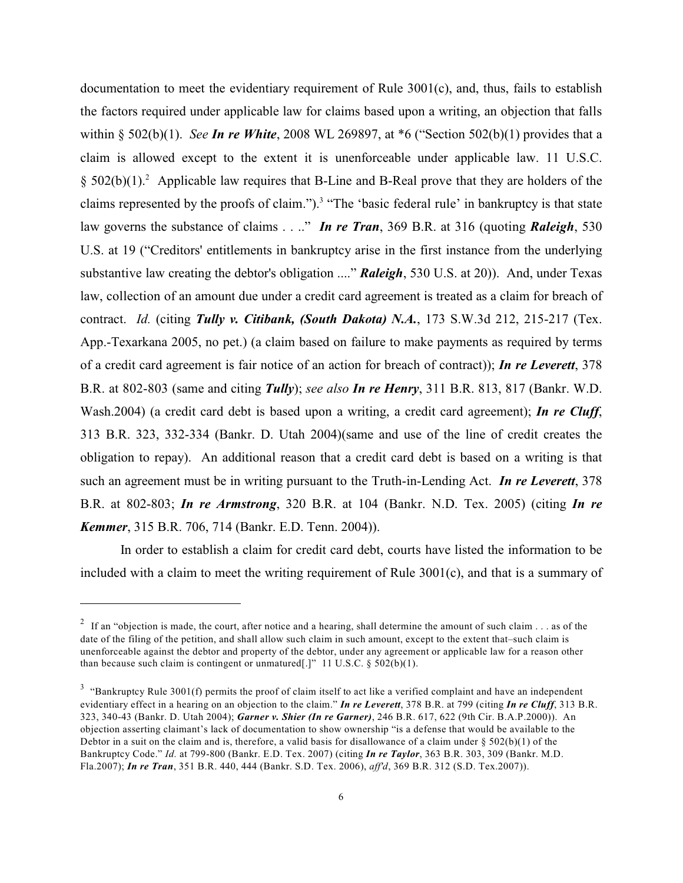documentation to meet the evidentiary requirement of Rule 3001(c), and, thus, fails to establish the factors required under applicable law for claims based upon a writing, an objection that falls within § 502(b)(1). *See In re White*, 2008 WL 269897, at \*6 ("Section 502(b)(1) provides that a claim is allowed except to the extent it is unenforceable under applicable law. 11 U.S.C.  $$502(b)(1).^2$  Applicable law requires that B-Line and B-Real prove that they are holders of the claims represented by the proofs of claim.").<sup>3</sup> "The 'basic federal rule' in bankruptcy is that state law governs the substance of claims . . .." *In re Tran*, 369 B.R. at 316 (quoting *Raleigh*, 530 U.S. at 19 ("Creditors' entitlements in bankruptcy arise in the first instance from the underlying substantive law creating the debtor's obligation ...." *Raleigh*, 530 U.S. at 20)). And, under Texas law, collection of an amount due under a credit card agreement is treated as a claim for breach of contract. *Id.* (citing *Tully v. Citibank, (South Dakota) N.A.*, 173 S.W.3d 212, 215-217 (Tex. App.-Texarkana 2005, no pet.) (a claim based on failure to make payments as required by terms of a credit card agreement is fair notice of an action for breach of contract)); *In re Leverett*, 378 B.R. at 802-803 (same and citing *Tully*); *see also In re Henry*, 311 B.R. 813, 817 (Bankr. W.D. Wash.2004) (a credit card debt is based upon a writing, a credit card agreement); *In re Cluff*, 313 B.R. 323, 332-334 (Bankr. D. Utah 2004)(same and use of the line of credit creates the obligation to repay). An additional reason that a credit card debt is based on a writing is that such an agreement must be in writing pursuant to the Truth-in-Lending Act. *In re Leverett*, 378 B.R. at 802-803; *In re Armstrong*, 320 B.R. at 104 (Bankr. N.D. Tex. 2005) (citing *In re Kemmer*, 315 B.R. 706, 714 (Bankr. E.D. Tenn. 2004)).

In order to establish a claim for credit card debt, courts have listed the information to be included with a claim to meet the writing requirement of Rule 3001(c), and that is a summary of

<sup>&</sup>lt;sup>2</sup> If an "objection is made, the court, after notice and a hearing, shall determine the amount of such claim  $\dots$  as of the date of the filing of the petition, and shall allow such claim in such amount, except to the extent that–such claim is unenforceable against the debtor and property of the debtor, under any agreement or applicable law for a reason other than because such claim is contingent or unmatured[.]" 11 U.S.C.  $\S$  502(b)(1).

 $3$  "Bankruptcy Rule 3001(f) permits the proof of claim itself to act like a verified complaint and have an independent evidentiary effect in a hearing on an objection to the claim." *In re Leverett*, 378 B.R. at 799 (citing *In re Cluff*, 313 B.R. 323, 340-43 (Bankr. D. Utah 2004); *Garner v. Shier (In re Garner)*, 246 B.R. 617, 622 (9th Cir. B.A.P.2000)). An objection asserting claimant's lack of documentation to show ownership "is a defense that would be available to the Debtor in a suit on the claim and is, therefore, a valid basis for disallowance of a claim under  $\S 502(b)(1)$  of the Bankruptcy Code." *Id.* at 799-800 (Bankr. E.D. Tex. 2007) (citing *In re Taylor*, 363 B.R. 303, 309 (Bankr. M.D. Fla.2007); *In re Tran*, 351 B.R. 440, 444 (Bankr. S.D. Tex. 2006), *aff'd*, 369 B.R. 312 (S.D. Tex.2007)).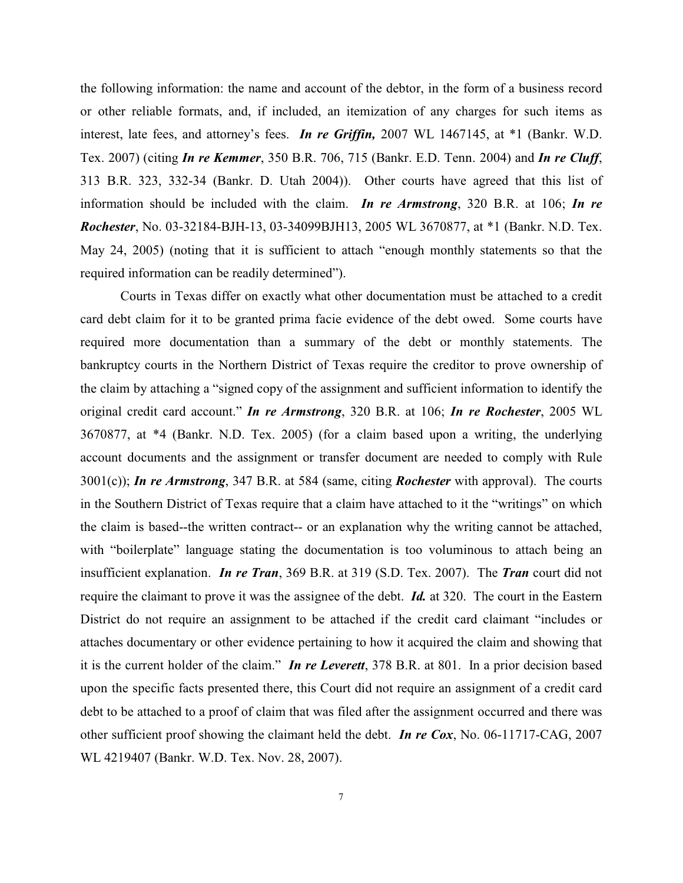the following information: the name and account of the debtor, in the form of a business record or other reliable formats, and, if included, an itemization of any charges for such items as interest, late fees, and attorney's fees. *In re Griffin,* 2007 WL 1467145, at \*1 (Bankr. W.D. Tex. 2007) (citing *In re Kemmer*, 350 B.R. 706, 715 (Bankr. E.D. Tenn. 2004) and *In re Cluff*, 313 B.R. 323, 332-34 (Bankr. D. Utah 2004)). Other courts have agreed that this list of information should be included with the claim. *In re Armstrong*, 320 B.R. at 106; *In re Rochester*, No. 03-32184-BJH-13, 03-34099BJH13, 2005 WL 3670877, at \*1 (Bankr. N.D. Tex. May 24, 2005) (noting that it is sufficient to attach "enough monthly statements so that the required information can be readily determined").

Courts in Texas differ on exactly what other documentation must be attached to a credit card debt claim for it to be granted prima facie evidence of the debt owed. Some courts have required more documentation than a summary of the debt or monthly statements. The bankruptcy courts in the Northern District of Texas require the creditor to prove ownership of the claim by attaching a "signed copy of the assignment and sufficient information to identify the original credit card account." *In re Armstrong*, 320 B.R. at 106; *In re Rochester*, 2005 WL 3670877, at \*4 (Bankr. N.D. Tex. 2005) (for a claim based upon a writing, the underlying account documents and the assignment or transfer document are needed to comply with Rule 3001(c)); *In re Armstrong*, 347 B.R. at 584 (same, citing *Rochester* with approval). The courts in the Southern District of Texas require that a claim have attached to it the "writings" on which the claim is based--the written contract-- or an explanation why the writing cannot be attached, with "boilerplate" language stating the documentation is too voluminous to attach being an insufficient explanation. *In re Tran*, 369 B.R. at 319 (S.D. Tex. 2007). The *Tran* court did not require the claimant to prove it was the assignee of the debt. *Id.* at 320. The court in the Eastern District do not require an assignment to be attached if the credit card claimant "includes or attaches documentary or other evidence pertaining to how it acquired the claim and showing that it is the current holder of the claim." *In re Leverett*, 378 B.R. at 801. In a prior decision based upon the specific facts presented there, this Court did not require an assignment of a credit card debt to be attached to a proof of claim that was filed after the assignment occurred and there was other sufficient proof showing the claimant held the debt. *In re Cox*, No. 06-11717-CAG, 2007 WL 4219407 (Bankr. W.D. Tex. Nov. 28, 2007).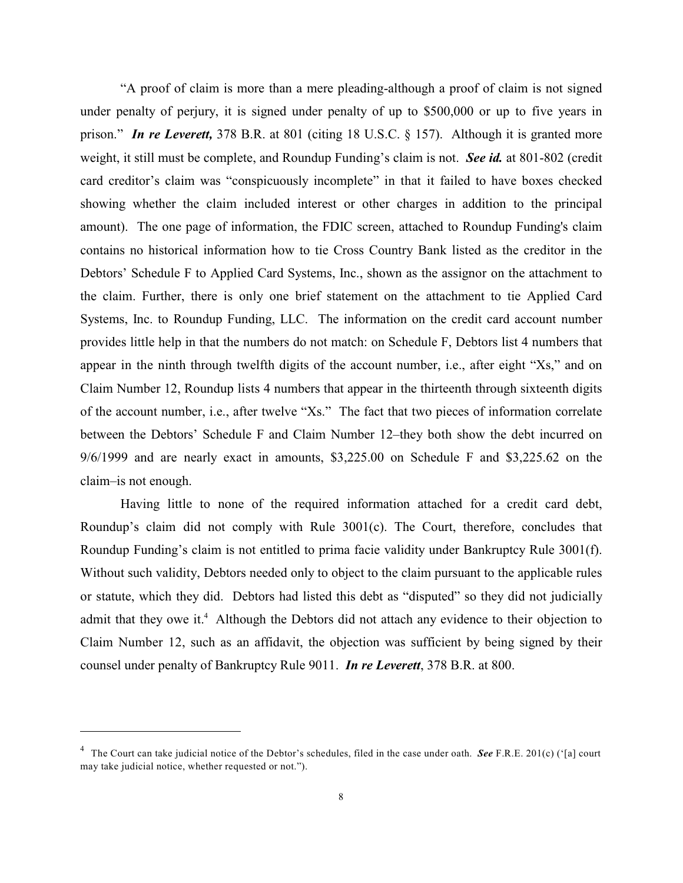"A proof of claim is more than a mere pleading-although a proof of claim is not signed under penalty of perjury, it is signed under penalty of up to \$500,000 or up to five years in prison." *In re Leverett,* 378 B.R. at 801 (citing 18 U.S.C. § 157). Although it is granted more weight, it still must be complete, and Roundup Funding's claim is not. *See id.* at 801-802 (credit card creditor's claim was "conspicuously incomplete" in that it failed to have boxes checked showing whether the claim included interest or other charges in addition to the principal amount). The one page of information, the FDIC screen, attached to Roundup Funding's claim contains no historical information how to tie Cross Country Bank listed as the creditor in the Debtors' Schedule F to Applied Card Systems, Inc., shown as the assignor on the attachment to the claim. Further, there is only one brief statement on the attachment to tie Applied Card Systems, Inc. to Roundup Funding, LLC. The information on the credit card account number provides little help in that the numbers do not match: on Schedule F, Debtors list 4 numbers that appear in the ninth through twelfth digits of the account number, i.e., after eight "Xs," and on Claim Number 12, Roundup lists 4 numbers that appear in the thirteenth through sixteenth digits of the account number, i.e., after twelve "Xs." The fact that two pieces of information correlate between the Debtors' Schedule F and Claim Number 12–they both show the debt incurred on 9/6/1999 and are nearly exact in amounts, \$3,225.00 on Schedule F and \$3,225.62 on the claim–is not enough.

Having little to none of the required information attached for a credit card debt, Roundup's claim did not comply with Rule 3001(c). The Court, therefore, concludes that Roundup Funding's claim is not entitled to prima facie validity under Bankruptcy Rule 3001(f). Without such validity, Debtors needed only to object to the claim pursuant to the applicable rules or statute, which they did. Debtors had listed this debt as "disputed" so they did not judicially admit that they owe it.<sup>4</sup> Although the Debtors did not attach any evidence to their objection to Claim Number 12, such as an affidavit, the objection was sufficient by being signed by their counsel under penalty of Bankruptcy Rule 9011. *In re Leverett*, 378 B.R. at 800.

<sup>&</sup>lt;sup>4</sup> The Court can take judicial notice of the Debtor's schedules, filed in the case under oath. See F.R.E. 201(c) ('[a] court may take judicial notice, whether requested or not.").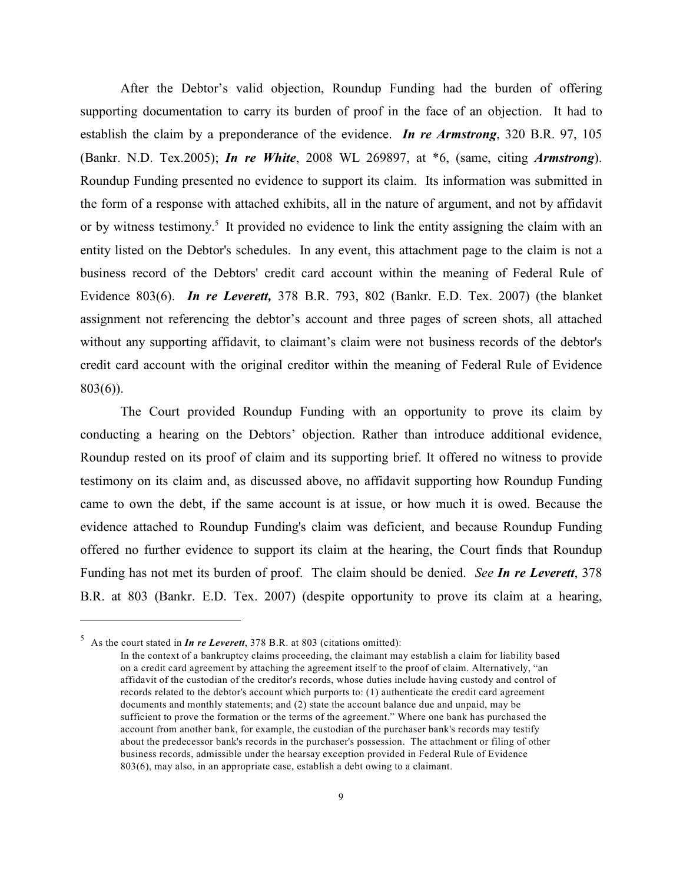After the Debtor's valid objection, Roundup Funding had the burden of offering supporting documentation to carry its burden of proof in the face of an objection. It had to establish the claim by a preponderance of the evidence. *In re Armstrong*, 320 B.R. 97, 105 (Bankr. N.D. Tex.2005); *In re White*, 2008 WL 269897, at \*6, (same, citing *Armstrong*). Roundup Funding presented no evidence to support its claim. Its information was submitted in the form of a response with attached exhibits, all in the nature of argument, and not by affidavit or by witness testimony.<sup>5</sup> It provided no evidence to link the entity assigning the claim with an entity listed on the Debtor's schedules. In any event, this attachment page to the claim is not a business record of the Debtors' credit card account within the meaning of Federal Rule of Evidence 803(6). *In re Leverett,* 378 B.R. 793, 802 (Bankr. E.D. Tex. 2007) (the blanket assignment not referencing the debtor's account and three pages of screen shots, all attached without any supporting affidavit, to claimant's claim were not business records of the debtor's credit card account with the original creditor within the meaning of Federal Rule of Evidence 803(6)).

The Court provided Roundup Funding with an opportunity to prove its claim by conducting a hearing on the Debtors' objection. Rather than introduce additional evidence, Roundup rested on its proof of claim and its supporting brief. It offered no witness to provide testimony on its claim and, as discussed above, no affidavit supporting how Roundup Funding came to own the debt, if the same account is at issue, or how much it is owed. Because the evidence attached to Roundup Funding's claim was deficient, and because Roundup Funding offered no further evidence to support its claim at the hearing, the Court finds that Roundup Funding has not met its burden of proof. The claim should be denied. *See In re Leverett*, 378 B.R. at 803 (Bankr. E.D. Tex. 2007) (despite opportunity to prove its claim at a hearing,

As the court stated in *In re Leverett*, 378 B.R. at 803 (citations omitted): <sup>5</sup>

In the context of a bankruptcy claims proceeding, the claimant may establish a claim for liability based on a credit card agreement by attaching the agreement itself to the proof of claim. Alternatively, "an affidavit of the custodian of the creditor's records, whose duties include having custody and control of records related to the debtor's account which purports to: (1) authenticate the credit card agreement documents and monthly statements; and (2) state the account balance due and unpaid, may be sufficient to prove the formation or the terms of the agreement." Where one bank has purchased the account from another bank, for example, the custodian of the purchaser bank's records may testify about the predecessor bank's records in the purchaser's possession. The attachment or filing of other business records, admissible under the hearsay exception provided in Federal Rule of Evidence 803(6), may also, in an appropriate case, establish a debt owing to a claimant.